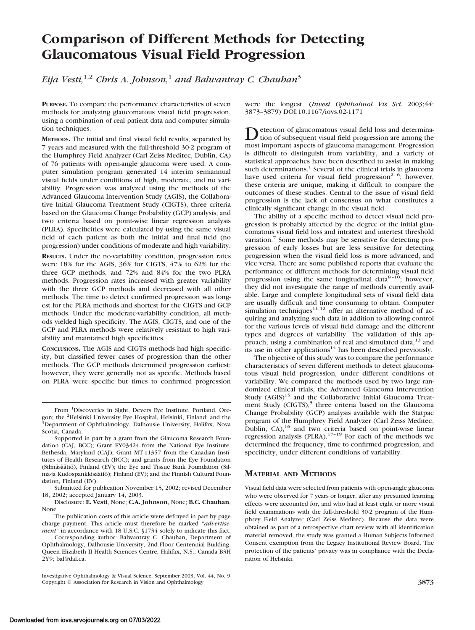# **Comparison of Different Methods for Detecting Glaucomatous Visual Field Progression**

*Eija Vesti,*1,2 *Chris A. Johnson,*<sup>1</sup> *and Balwantray C. Chauhan*<sup>3</sup>

**PURPOSE.** To compare the performance characteristics of seven methods for analyzing glaucomatous visual field progression, using a combination of real patient data and computer simulation techniques.

**METHODS.** The initial and final visual field results, separated by 7 years and measured with the full-threshold 30-2 program of the Humphrey Field Analyzer (Carl Zeiss Meditec, Dublin, CA) of 76 patients with open-angle glaucoma were used. A computer simulation program generated 14 interim semiannual visual fields under conditions of high, moderate, and no variability. Progression was analyzed using the methods of the Advanced Glaucoma Intervention Study (AGIS), the Collaborative Initial Glaucoma Treatment Study (CIGTS), three criteria based on the Glaucoma Change Probability (GCP) analysis, and two criteria based on point-wise linear regression analysis (PLRA). Specificities were calculated by using the same visual field of each patient as both the initial and final field (no progression) under conditions of moderate and high variability.

**RESULTS.** Under the no-variability condition, progression rates were 18% for the AGIS, 36% for CIGTS, 47% to 62% for the three GCP methods, and 72% and 84% for the two PLRA methods. Progression rates increased with greater variability with the three GCP methods and decreased with all other methods. The time to detect confirmed progression was longest for the PLRA methods and shortest for the CIGTS and GCP methods. Under the moderate-variability condition, all methods yielded high specificity. The AGIS, CIGTS, and one of the GCP and PLRA methods were relatively resistant to high variability and maintained high specificities.

**CONCLUSIONS.** The AGIS and CIGTS methods had high specificity, but classified fewer cases of progression than the other methods. The GCP methods determined progression earliest; however, they were generally not as specific. Methods based on PLRA were specific but times to confirmed progression

Disclosure: **E. Vesti**, None; **C.A. Johnson**, None; **B.C. Chauhan**, None

The publication costs of this article were defrayed in part by page charge payment. This article must therefore be marked "*advertisement*" in accordance with 18 U.S.C. §1734 solely to indicate this fact.

Corresponding author: Balwantray C. Chauhan, Department of Ophthalmology, Dalhousie University, 2nd Floor Centennial Building, Queen Elizabeth II Health Sciences Centre, Halifax, N.S., Canada B3H 2Y9; bal@dal.ca.

Investigative Ophthalmology & Visual Science, September 2003, Vol. 44, No. 9 Copyright © Association for Research in Vision and Ophthalmology **3873**

were the longest. (*Invest Ophthalmol Vis Sci.* 2003;44: 3873–3879) DOI:10.1167/iovs.02-1171

Detection of glaucomatous visual field loss and determina-<br>tion of subsequent visual field progression are among the most important aspects of glaucoma management. Progression is difficult to distinguish from variability, and a variety of statistical approaches have been described to assist in making such determinations.<sup>1</sup> Several of the clinical trials in glaucoma have used criteria for visual field progression<sup>2-6</sup>; however, these criteria are unique, making it difficult to compare the outcomes of these studies. Central to the issue of visual field progression is the lack of consensus on what constitutes a clinically significant change in the visual field.

The ability of a specific method to detect visual field progression is probably affected by the degree of the initial glaucomatous visual field loss and intratest and intertest threshold variation.<sup>7</sup> Some methods may be sensitive for detecting progression of early losses but are less sensitive for detecting progression when the visual field loss is more advanced, and vice versa. There are some published reports that evaluate the performance of different methods for determining visual field progression using the same longitudinal data $8-i6$ ; however, they did not investigate the range of methods currently available. Large and complete longitudinal sets of visual field data are usually difficult and time consuming to obtain. Computer simulation techniques $11,12$  offer an alternative method of acquiring and analyzing such data in addition to allowing control for the various levels of visual field damage and the different types and degrees of variability. The validation of this approach, using a combination of real and simulated data,<sup>13</sup> and its use in other applications $14$  has been described previously.

The objective of this study was to compare the performance characteristics of seven different methods to detect glaucomatous visual field progression, under different conditions of variability. We compared the methods used by two large randomized clinical trials, the Advanced Glaucoma Intervention Study (AGIS)<sup>15</sup> and the Collaborative Initial Glaucoma Treatment Study (CIGTS),<sup>5</sup> three criteria based on the Glaucoma Change Probability (GCP) analysis available with the Statpac program of the Humphrey Field Analyzer (Carl Zeiss Meditec, Dublin,  $CA$ ),<sup>16</sup> and two criteria based on point-wise linear regression analysis (PLRA).<sup>17-19</sup> For each of the methods we determined the frequency, time to confirmed progression, and specificity, under different conditions of variability.

# **MATERIAL AND METHODS**

Visual field data were selected from patients with open-angle glaucoma who were observed for 7 years or longer, after any presumed learning effects were accounted for, and who had at least eight or more visual field examinations with the full-threshold 30-2 program of the Humphrey Field Analyzer (Carl Zeiss Meditec). Because the data were obtained as part of a retrospective chart review with all identification material removed, the study was granted a Human Subjects Informed Consent exemption from the Legacy Institutional Review Board. The protection of the patients' privacy was in compliance with the Declaration of Helsinki.

From <sup>1</sup>Discoveries in Sight, Devers Eye Institute, Portland, Oregon; the <sup>2</sup>Helsinki University Eye Hospital, Helsinki, Finland; and the <sup>3</sup>Department of Ophthalmology, Dalbousie University, Halifax, Nova <sup>3</sup>Department of Ophthalmology, Dalhousie University, Halifax, Nova Scotia, Canada.

Supported in part by a grant from the Glaucoma Research Foundation (CAJ, BCC); Grant EY03424 from the National Eye Institute, Bethesda, Maryland (CAJ); Grant MT-11357 from the Canadian Institutes of Health Research (BCC); and grants from the Eye Foundation (Silmäsäätiö), Finland (EV); the Eye and Tissue Bank Foundation (Silmä-ja Kudospankkisäätiö); Finland (EV); and the Finnish Cultural Foundation, Finland (EV).

Submitted for publication November 15, 2002; revised December 18, 2002; accepted January 14, 2003.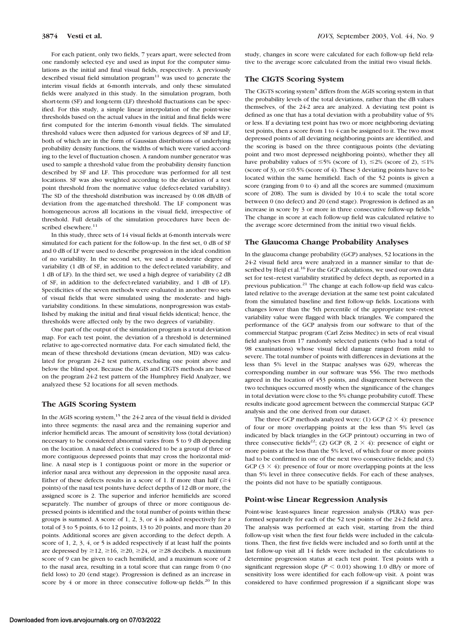For each patient, only two fields, 7 years apart, were selected from one randomly selected eye and used as input for the computer simulations as the initial and final visual fields, respectively. A previously described visual field simulation program<sup>11</sup> was used to generate the interim visual fields at 6-month intervals, and only these simulated fields were analyzed in this study. In the simulation program, both short-term (SF) and long-term (LF) threshold fluctuations can be specified. For this study, a simple linear interpolation of the point-wise thresholds based on the actual values in the initial and final fields were first computed for the interim 6-month visual fields. The simulated threshold values were then adjusted for various degrees of SF and LF, both of which are in the form of Gaussian distributions of underlying probability density functions, the widths of which were varied according to the level of fluctuation chosen. A random number generator was used to sample a threshold value from the probability density function described by SF and LF. This procedure was performed for all test locations. SF was also weighted according to the deviation of a test point threshold from the normative value (defect-related variability). The SD of the threshold distribution was increased by 0.08 dB/dB of deviation from the age-matched threshold. The LF component was homogeneous across all locations in the visual field, irrespective of threshold. Full details of the simulation procedures have been described elsewhere.<sup>11</sup>

In this study, three sets of 14 visual fields at 6-month intervals were simulated for each patient for the follow-up. In the first set, 0 dB of SF and 0 dB of LF were used to describe progression in the ideal condition of no variability. In the second set, we used a moderate degree of variability (1 dB of SF, in addition to the defect-related variability, and 1 dB of LF). In the third set, we used a high degree of variability (2 dB of SF, in addition to the defect-related variability, and 1 dB of LF). Specificities of the seven methods were evaluated in another two sets of visual fields that were simulated using the moderate- and highvariability conditions. In these simulations, nonprogression was established by making the initial and final visual fields identical; hence, the thresholds were affected only by the two degrees of variability.

One part of the output of the simulation program is a total deviation map. For each test point, the deviation of a threshold is determined relative to age-corrected normative data. For each simulated field, the mean of these threshold deviations (mean deviation, MD) was calculated for program 24-2 test pattern, excluding one point above and below the blind spot. Because the AGIS and CIGTS methods are based on the program 24-2 test pattern of the Humphrey Field Analyzer, we analyzed these 52 locations for all seven methods.

#### **The AGIS Scoring System**

In the AGIS scoring system,<sup>15</sup> the 24-2 area of the visual field is divided into three segments: the nasal area and the remaining superior and inferior hemifield areas. The amount of sensitivity loss (total deviation) necessary to be considered abnormal varies from 5 to 9 dB depending on the location. A nasal defect is considered to be a group of three or more contiguous depressed points that may cross the horizontal midline. A nasal step is 1 contiguous point or more in the superior or inferior nasal area without any depression in the opposite nasal area. Either of these defects results in a score of 1. If more than half ( $\geq 4$ ) points) of the nasal test points have defect depths of 12 dB or more, the assigned score is 2. The superior and inferior hemifields are scored separately. The number of groups of three or more contiguous depressed points is identified and the total number of points within these groups is summed. A score of  $1, 2, 3$ , or  $4$  is added respectively for a total of 3 to 5 points, 6 to 12 points, 13 to 20 points, and more than 20 points. Additional scores are given according to the defect depth. A score of 1, 2, 3, 4, or 5 is added respectively if at least half the points are depressed by  $\geq 12$ ,  $\geq 16$ ,  $\geq 20$ ,  $\geq 24$ , or  $\geq 28$  decibels. A maximum score of 9 can be given to each hemifield, and a maximum score of 2 to the nasal area, resulting in a total score that can range from 0 (no field loss) to 20 (end stage). Progression is defined as an increase in score by  $4$  or more in three consecutive follow-up fields.<sup>20</sup> In this study, changes in score were calculated for each follow-up field relative to the average score calculated from the initial two visual fields.

## **The CIGTS Scoring System**

The CIGTS scoring system<sup>5</sup> differs from the AGIS scoring system in that the probability levels of the total deviations, rather than the dB values themselves, of the 24-2 area are analyzed. A deviating test point is defined as one that has a total deviation with a probability value of 5% or less. If a deviating test point has two or more neighboring deviating test points, then a score from 1 to 4 can be assigned to it. The two most depressed points of all deviating neighboring points are identified, and the scoring is based on the three contiguous points (the deviating point and two most depressed neighboring points), whether they all have probability values of  $\leq 5\%$  (score of 1),  $\leq 2\%$  (score of 2),  $\leq 1\%$ (score of 3), or  $\leq$  0.5% (score of 4). These 3 deviating points have to be located within the same hemifield. Each of the 52 points is given a score (ranging from 0 to 4) and all the scores are summed (maximum score of 208). The sum is divided by 10.4 to scale the total score between 0 (no defect) and 20 (end stage). Progression is defined as an increase in score by 3 or more in three consecutive follow-up fields.<sup>5</sup> The change in score at each follow-up field was calculated relative to the average score determined from the initial two visual fields.

#### **The Glaucoma Change Probability Analyses**

In the glaucoma change probability (GCP) analyses, 52 locations in the 24-2 visual field area were analyzed in a manner similar to that described by Heijl et al.<sup>16</sup> For the GCP calculations, we used our own data set for test–retest variability stratified by defect depth, as reported in a previous publication.<sup>21</sup> The change at each follow-up field was calculated relative to the average deviation at the same test point calculated from the simulated baseline and first follow-up fields. Locations with changes lower than the 5th percentile of the appropriate test–retest variability value were flagged with black triangles. We compared the performance of the GCP analysis from our software to that of the commercial Statpac program (Carl Zeiss Meditec) in sets of real visual field analyses from 17 randomly selected patients (who had a total of 98 examinations) whose visual field damage ranged from mild to severe. The total number of points with differences in deviations at the less than 5% level in the Statpac analyses was 629, whereas the corresponding number in our software was 556. The two methods agreed in the location of 453 points, and disagreement between the two techniques occurred mostly when the significance of the changes in total deviation were close to the 5% change probability cutoff. These results indicate good agreement between the commercial Statpac GCP analysis and the one derived from our dataset.

The three GCP methods analyzed were: (1) GCP ( $2 \times 4$ ): presence of four or more overlapping points at the less than 5% level (as indicated by black triangles in the GCP printout) occurring in two of three consecutive fields<sup>22</sup>; (2) GCP (8, 2  $\times$  4): presence of eight or more points at the less than the 5% level, of which four or more points had to be confirmed in one of the next two consecutive fields; and (3) GCP  $(3 \times 4)$ : presence of four or more overlapping points at the less than 5% level in three consecutive fields. For each of these analyses, the points did not have to be spatially contiguous.

#### **Point-wise Linear Regression Analysis**

Point-wise least-squares linear regression analysis (PLRA) was performed separately for each of the 52 test points of the 24-2 field area. The analysis was performed at each visit, starting from the third follow-up visit when the first four fields were included in the calculations. Then, the first five fields were included and so forth until at the last follow-up visit all 14 fields were included in the calculations to determine progression status at each test point. Test points with a significant regression slope ( $P < 0.01$ ) showing 1.0 dB/y or more of sensitivity loss were identified for each follow-up visit. A point was considered to have confirmed progression if a significant slope was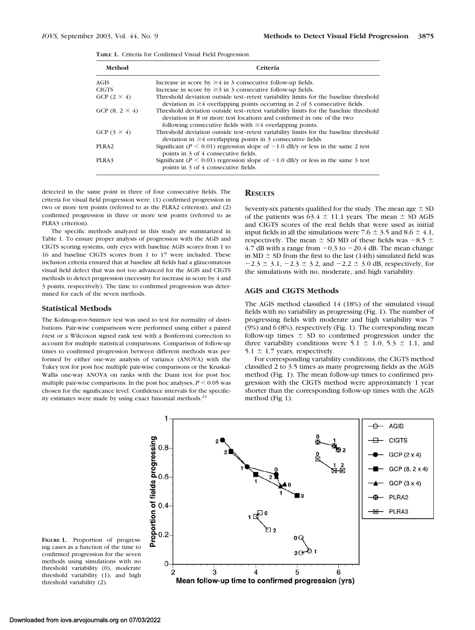|  |  |  |  |  |  |  | <b>TABLE 1.</b> Criteria for Confirmed Visual Field Progression |
|--|--|--|--|--|--|--|-----------------------------------------------------------------|
|--|--|--|--|--|--|--|-----------------------------------------------------------------|

| Method                | Criteria<br>Increase in score by $\geq 4$ in 3 consecutive follow-up fields.                                                                                                                                                     |  |  |  |  |  |
|-----------------------|----------------------------------------------------------------------------------------------------------------------------------------------------------------------------------------------------------------------------------|--|--|--|--|--|
| AGIS                  |                                                                                                                                                                                                                                  |  |  |  |  |  |
| CIGTS                 | Increase in score by $\geq$ 3 in 3 consecutive follow-up fields.                                                                                                                                                                 |  |  |  |  |  |
| GCP $(2 \times 4)$    | Threshold deviation outside test-retest variability limits for the baseline threshold<br>deviation in $\geq 4$ overlapping points occurring in 2 of 3 consecutive fields.                                                        |  |  |  |  |  |
| GCP $(8, 2 \times 4)$ | Threshold deviation outside test-retest variability limits for the baseline threshold<br>deviation in 8 or more test locations and confirmed in one of the two<br>following consecutive fields with $\geq 4$ overlapping points. |  |  |  |  |  |
| GCP $(3 \times 4)$    | Threshold deviation outside test-retest variability limits for the baseline threshold<br>deviation in $\geq 4$ overlapping points in 3 consecutive fields.                                                                       |  |  |  |  |  |
| PLRA2                 | Significant ( $P \le 0.01$ ) regression slope of $-1.0$ dB/y or less in the same 2 test<br>points in 3 of 4 consecutive fields.                                                                                                  |  |  |  |  |  |
| PLRA3                 | Significant ( $P \le 0.01$ ) regression slope of $-1.0$ dB/y or less in the same 3 test<br>points in 3 of 4 consecutive fields.                                                                                                  |  |  |  |  |  |

detected in the same point in three of four consecutive fields. The criteria for visual field progression were: (1) confirmed progression in two or more test points (referred to as the PLRA2 criterion), and (2) confirmed progression in three or more test points (referred to as PLRA3 criterion).

The specific methods analyzed in this study are summarized in Table 1. To ensure proper analysis of progression with the AGIS and CIGTS scoring systems, only eyes with baseline AGIS scores from 1 to 16 and baseline CIGTS scores from 1 to 17 were included. These inclusion criteria ensured that at baseline all fields had a glaucomatous visual field defect that was not too advanced for the AGIS and CIGTS methods to detect progression (necessity for increase in score by 4 and 3 points, respectively). The time to confirmed progression was determined for each of the seven methods.

#### **Statistical Methods**

The Kolmogorov-Smirnov test was used to test for normality of distributions. Pair-wise comparisons were performed using either a paired *t*-test or a Wilcoxon signed rank test with a Bonferroni correction to account for multiple statistical comparisons. Comparison of follow-up times to confirmed progression between different methods was performed by either one-way analysis of variance (ANOVA) with the Tukey test for post hoc multiple pair-wise comparisons or the Kruskal-Wallis one-way ANOVA on ranks with the Dunn test for post hoc multiple pair-wise comparisons. In the post hoc analyses,  $P \leq 0.05$  was chosen for the significance level. Confidence intervals for the specificity estimates were made by using exact binomial methods.<sup>23</sup>

# **RESULTS**

Seventy-six patients qualified for the study. The mean age  $\pm$  SD of the patients was  $63.4 \pm 11.1$  years. The mean  $\pm$  SD AGIS and CIGTS scores of the real fields that were used as initial input fields in all the simulations were 7.6  $\pm$  3.5 and 8.6  $\pm$  4.1, respectively. The mean  $\pm$  SD MD of these fields was  $-8.5 \pm$ 4.7 dB with a range from  $-0.3$  to  $-20.4$  dB. The mean change in MD  $\pm$  SD from the first to the last (14th) simulated field was  $-2.3 \pm 3.1$ ,  $-2.3 \pm 3.2$ , and  $-2.2 \pm 3.0$  dB, respectively, for the simulations with no, moderate, and high variability.

# **AGIS and CIGTS Methods**

The AGIS method classified 14 (18%) of the simulated visual fields with no variability as progressing (Fig. 1). The number of progressing fields with moderate and high variability was 7 (9%) and 6 (8%), respectively (Fig. 1). The corresponding mean follow-up times  $\pm$  SD to confirmed progression under the three variability conditions were  $5.1 \pm 1.0$ ,  $5.3 \pm 1.1$ , and  $5.1 \pm 1.7$  years, respectively.

For corresponding variability conditions, the CIGTS method classified 2 to 3.5 times as many progressing fields as the AGIS method (Fig. 1). The mean follow-up times to confirmed progression with the CIGTS method were approximately 1 year shorter than the corresponding follow-up times with the AGIS method (Fig 1).



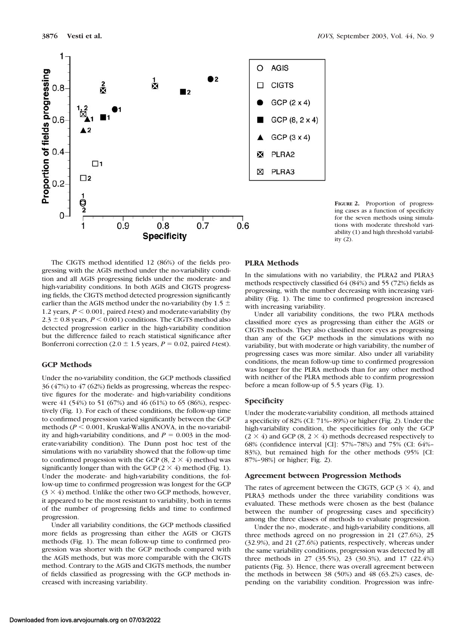

**FIGURE 2.** Proportion of progressing cases as a function of specificity for the seven methods using simulations with moderate threshold variability (1) and high threshold variability (2).

The CIGTS method identified 12 (86%) of the fields progressing with the AGIS method under the no-variability condition and all AGIS progressing fields under the moderate- and high-variability conditions. In both AGIS and CIGTS progressing fields, the CIGTS method detected progression significantly earlier than the AGIS method under the no-variability (by 1.5  $\pm$ 1.2 years,  $P \le 0.001$ , paired *t*-test) and moderate-variability (by  $2.3 \pm 0.8$  years,  $P \le 0.001$ ) conditions. The CIGTS method also detected progression earlier in the high-variability condition but the difference failed to reach statistical significance after Bonferroni correction (2.0  $\pm$  1.5 years, *P* = 0.02, paired *t*-test).

## **GCP Methods**

Under the no-variability condition, the GCP methods classified 36 (47%) to 47 (62%) fields as progressing, whereas the respective figures for the moderate- and high-variability conditions were 41 (54%) to 51 (67%) and 46 (61%) to 65 (86%), respectively (Fig. 1). For each of these conditions, the follow-up time to confirmed progression varied significantly between the GCP methods ( $P \le 0.001$ , Kruskal-Wallis ANOVA, in the no-variability and high-variability conditions, and  $P = 0.003$  in the moderate-variability condition). The Dunn post hoc test of the simulations with no variability showed that the follow-up time to confirmed progession with the GCP  $(8, 2 \times 4)$  method was significantly longer than with the GCP ( $2 \times 4$ ) method (Fig. 1). Under the moderate- and high-variability conditions, the follow-up time to confirmed progression was longest for the GCP  $(3 \times 4)$  method. Unlike the other two GCP methods, however, it appeared to be the most resistant to variability, both in terms of the number of progressing fields and time to confirmed progression.

Under all variability conditions, the GCP methods classified more fields as progressing than either the AGIS or CIGTS methods (Fig. 1). The mean follow-up time to confirmed progression was shorter with the GCP methods compared with the AGIS methods, but was more comparable with the CIGTS method. Contrary to the AGIS and CIGTS methods, the number of fields classified as progressing with the GCP methods increased with increasing variability.

# **PLRA Methods**

In the simulations with no variability, the PLRA2 and PLRA3 methods respectively classified 64 (84%) and 55 (72%) fields as progressing, with the number decreasing with increasing variability (Fig. 1). The time to confirmed progression increased with increasing variability.

Under all variability conditions, the two PLRA methods classified more eyes as progressing than either the AGIS or CIGTS methods. They also classified more eyes as progressing than any of the GCP methods in the simulations with no variability, but with moderate or high variability, the number of progressing cases was more similar. Also under all variability conditions, the mean follow-up time to confirmed progression was longer for the PLRA methods than for any other method with neither of the PLRA methods able to confirm progression before a mean follow-up of 5.5 years (Fig. 1).

# **Specificity**

Under the moderate-variability condition, all methods attained a specificity of 82% (CI: 71%–89%) or higher (Fig. 2). Under the high-variability condition, the specificities for only the GCP  $(2 \times 4)$  and GCP  $(8, 2 \times 4)$  methods decreased respectively to 68% (confidence interval [CI]: 57%–78%) and 75% (CI: 64%– 83%), but remained high for the other methods (95% [CI: 87%–98%] or higher; Fig. 2).

#### **Agreement between Progression Methods**

The rates of agreement between the CIGTS, GCP  $(3 \times 4)$ , and PLRA3 methods under the three variability conditions was evaluated. These methods were chosen as the best (balance between the number of progressing cases and specificity) among the three classes of methods to evaluate progression.

Under the no-, moderate-, and high-variability conditions, all three methods agreed on no progression in 21 (27.6%), 25 (32.9%), and 21 (27.6%) patients, respectively, whereas under the same variability conditions, progression was detected by all three methods in 27 (35.5%), 23 (30.3%), and 17 (22.4%) patients (Fig. 3). Hence, there was overall agreement between the methods in between 38 (50%) and 48 (63.2%) cases, depending on the variability condition. Progression was infre-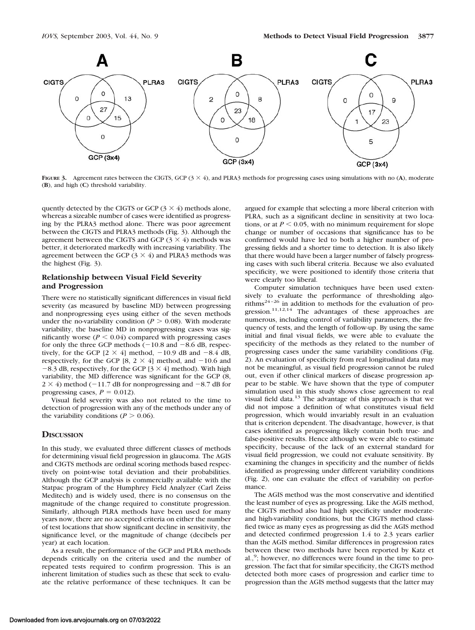

**FIGURE** 3. Agreement rates between the CIGTS, GCP ( $3 \times 4$ ), and PLRA3 methods for progressing cases using simulations with no (A), moderate (**B**), and high (**C**) threshold variability.

quently detected by the CIGTS or GCP  $(3 \times 4)$  methods alone, whereas a sizeable number of cases were identified as progressing by the PLRA3 method alone. There was poor agreement between the CIGTS and PLRA3 methods (Fig. 3). Although the agreement between the CIGTS and GCP  $(3 \times 4)$  methods was better, it deteriorated markedly with increasing variability. The agreement between the GCP  $(3 \times 4)$  and PLRA3 methods was the highest (Fig. 3).

## **Relationship between Visual Field Severity and Progression**

There were no statistically significant differences in visual field severity (as measured by baseline MD) between progressing and nonprogressing eyes using either of the seven methods under the no-variability condition ( $P > 0.08$ ). With moderate variability, the baseline MD in nonprogressing cases was significantly worse  $(P < 0.04)$  compared with progressing cases for only the three GCP methods  $(-10.8$  and  $-8.6$  dB, respectively, for the GCP  $[2 \times 4]$  method,  $-10.9$  dB and  $-8.4$  dB, respectively, for the GCP [8,  $2 \times 4$ ] method, and  $-10.6$  and  $-8.3$  dB, respectively, for the GCP [ $3 \times 4$ ] method). With high variability, the MD difference was significant for the GCP (8,  $2 \times 4$ ) method (-11.7 dB for nonprogressing and -8.7 dB for progressing cases,  $P = 0.012$ .

Visual field severity was also not related to the time to detection of progression with any of the methods under any of the variability conditions ( $P > 0.06$ ).

# **DISCUSSION**

In this study, we evaluated three different classes of methods for determining visual field progression in glaucoma. The AGIS and CIGTS methods are ordinal scoring methods based respectively on point-wise total deviation and their probabilities. Although the GCP analysis is commercially available with the Statpac program of the Humphrey Field Analyzer (Carl Zeiss Meditech) and is widely used, there is no consensus on the magnitude of the change required to constitute progression. Similarly, although PLRA methods have been used for many years now, there are no accepted criteria on either the number of test locations that show significant decline in sensitivity, the significance level, or the magnitude of change (decibels per year) at each location.

As a result, the performance of the GCP and PLRA methods depends critically on the criteria used and the number of repeated tests required to confirm progression. This is an inherent limitation of studies such as these that seek to evaluate the relative performance of these techniques. It can be

argued for example that selecting a more liberal criterion with PLRA, such as a significant decline in sensitivity at two locations, or at  $P \le 0.05$ , with no minimum requirement for slope change or number of occasions that significance has to be confirmed would have led to both a higher number of progressing fields and a shorter time to detection. It is also likely that there would have been a larger number of falsely progressing cases with such liberal criteria. Because we also evaluated specificity, we were positioned to identify those criteria that were clearly too liberal.

Computer simulation techniques have been used extensively to evaluate the performance of thresholding algorithms<sup>24-26</sup> in addition to methods for the evaluation of progression.<sup>11,12,14</sup> The advantages of these approaches are numerous, including control of variability parameters, the frequency of tests, and the length of follow-up. By using the same initial and final visual fields, we were able to evaluate the specificity of the methods as they related to the number of progressing cases under the same variability conditions (Fig. 2). An evaluation of specificity from real longitudinal data may not be meaningful, as visual field progression cannot be ruled out, even if other clinical markers of disease progression appear to be stable. We have shown that the type of computer simulation used in this study shows close agreement to real visual field data. $13$  The advantage of this approach is that we did not impose a definition of what constitutes visual field progression, which would invariably result in an evaluation that is criterion dependent. The disadvantage, however, is that cases identified as progressing likely contain both true- and false-positive results. Hence although we were able to estimate specificity, because of the lack of an external standard for visual field progression, we could not evaluate sensitivity. By examining the changes in specificity and the number of fields identified as progressing under different variability conditions (Fig. 2), one can evaluate the effect of variability on performance.

The AGIS method was the most conservative and identified the least number of eyes as progressing. Like the AGIS method, the CIGTS method also had high specificity under moderateand high-variability conditions, but the CIGTS method classified twice as many eyes as progressing as did the AGIS method and detected confirmed progression 1.4 to 2.3 years earlier than the AGIS method. Similar differences in progression rates between these two methods have been reported by Katz et al.,<sup>9</sup>; however, no differences were found in the time to progression. The fact that for similar specificity, the CIGTS method detected both more cases of progression and earlier time to progression than the AGIS method suggests that the latter may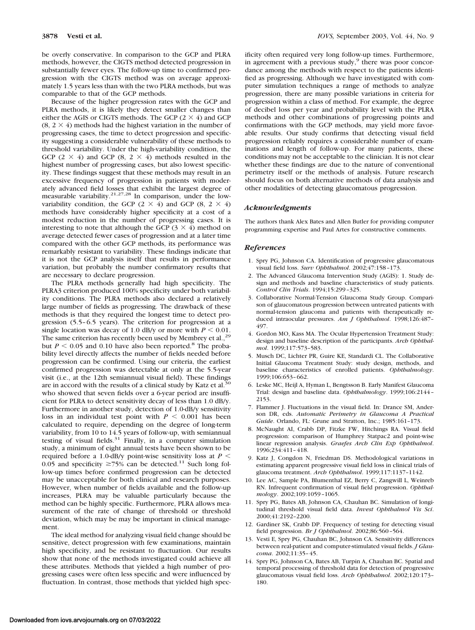be overly conservative. In comparison to the GCP and PLRA methods, however, the CIGTS method detected progression in substantially fewer eyes. The follow-up time to confirmed progression with the CIGTS method was on average approximately 1.5 years less than with the two PLRA methods, but was comparable to that of the GCP methods.

Because of the higher progression rates with the GCP and PLRA methods, it is likely they detect smaller changes than either the AGIS or CIGTS methods. The GCP  $(2 \times 4)$  and GCP  $(8, 2 \times 4)$  methods had the highest variation in the number of progressing cases, the time to detect progression and specificity suggesting a considerable vulnerability of these methods to threshold variability. Under the high-variability condition, the GCP (2  $\times$  4) and GCP (8, 2  $\times$  4) methods resulted in the highest number of progressing cases, but also lowest specificity. These findings suggest that these methods may result in an excessive frequency of progression in patients with moderately advanced field losses that exhibit the largest degree of measurable variability.21,27,28 In comparison, under the lowvariability condition, the GCP (2  $\times$  4) and GCP (8, 2  $\times$  4) methods have considerably higher specificity at a cost of a modest reduction in the number of progressing cases. It is interesting to note that although the GCP ( $3 \times 4$ ) method on average detected fewer cases of progression and at a later time compared with the other GCP methods, its performance was remarkably resistant to variability. These findings indicate that it is not the GCP analysis itself that results in performance variation, but probably the number confirmatory results that are necessary to declare progression.

The PLRA methods generally had high specificity. The PLRA3 criterion produced 100% specificity under both variability conditions. The PLRA methods also declared a relatively large number of fields as progressing. The drawback of these methods is that they required the longest time to detect progression (5.5–6.5 years). The criterion for progression at a single location was decay of 1.0 dB/y or more with  $P < 0.01$ . The same criterion has recently been used by Membrey et al.,<sup>29</sup> but  $P < 0.05$  and 0.10 have also been reported.<sup>8</sup> The probability level directly affects the number of fields needed before progression can be confirmed. Using our criteria, the earliest confirmed progression was detectable at only at the 5.5-year visit (i.e., at the 12th semiannual visual field). These findings are in accord with the results of a clinical study by Katz et al.<sup>3</sup> who showed that seven fields over a 6-year period are insufficient for PLRA to detect sensitivity decay of less than 1.0 dB/y. Furthermore in another study, detection of 1.0-dB/y sensitivity loss in an individual test point with  $P < 0.001$  has been calculated to require, depending on the degree of long-term variability, from 10 to 14.5 years of follow-up, with semiannual testing of visual fields. $31$  Finally, in a computer simulation study, a minimum of eight annual tests have been shown to be required before a 1.0-dB/y point-wise sensitivity loss at  $P <$ 0.05 and specificity  $\geq$ 75% can be detected.<sup>11</sup> Such long follow-up times before confirmed progression can be detected may be unacceptable for both clinical and research purposes. However, when number of fields available and the follow-up increases, PLRA may be valuable particularly because the method can be highly specific. Furthermore, PLRA allows measurement of the rate of change of threshold or threshold deviation, which may be may be important in clinical management.

The ideal method for analyzing visual field change should be sensitive, detect progression with few examinations, maintain high specificity, and be resistant to fluctuation. Our results show that none of the methods investigated could achieve all these attributes. Methods that yielded a high number of progressing cases were often less specific and were influenced by fluctuation. In contrast, those methods that yielded high specificity often required very long follow-up times. Furthermore, in agreement with a previous study, $9$  there was poor concordance among the methods with respect to the patients identified as progressing. Although we have investigated with computer simulation techniques a range of methods to analyze progression, there are many possible variations in criteria for progression within a class of method. For example, the degree of decibel loss per year and probability level with the PLRA methods and other combinations of progressing points and confirmations with the GCP methods, may yield more favorable results. Our study confirms that detecting visual field progression reliably requires a considerable number of examinations and length of follow-up. For many patients, these conditions may not be acceptable to the clinician. It is not clear whether these findings are due to the nature of conventional perimetry itself or the methods of analysis. Future research should focus on both alternative methods of data analysis and other modalities of detecting glaucomatous progression.

#### *Acknowledgments*

The authors thank Alex Bates and Allen Butler for providing computer programming expertise and Paul Artes for constructive comments.

#### *References*

- 1. Spry PG, Johnson CA. Identification of progressive glaucomatous visual field loss. *Surv Ophthalmol*. 2002;47:158–173.
- 2. The Advanced Glaucoma Intervention Study (AGIS): 1. Study design and methods and baseline characteristics of study patients. *Control Clin Trials*. 1994;15:299–325.
- 3. Collaborative Normal-Tension Glaucoma Study Group. Comparison of glaucomatous progression between untreated patients with normal-tension glaucoma and patients with therapeutically reduced intraocular pressures. *Am J Ophthalmol*. 1998;126:487– 497.
- 4. Gordon MO, Kass MA. The Ocular Hypertension Treatment Study: design and baseline description of the participants. *Arch Ophthalmol*. 1999;117:573–583.
- 5. Musch DC, Lichter PR, Guire KE, Standardi CL. The Collaborative Initial Glaucoma Treatment Study: study design, methods, and baseline characteristics of enrolled patients. *Ophthalmology*. 1999;106:653–662.
- 6. Leske MC, Heijl A, Hyman L, Bengtsson B. Early Manifest Glaucoma Trial: design and baseline data. *Ophthalmology*. 1999;106:2144– 2153.
- 7. Flammer J. Fluctuations in the visual field. In: Drance SM, Anderson DR, eds. *Automatic Perimetry in Glaucoma A Practical Guide*. Orlando, FL: Grune and Stratton, Inc.; 1985:161–173.
- 8. McNaught AI, Crabb DP, Fitzke FW, Hitchings RA. Visual field progression: comparison of Humphrey Statpac2 and point-wise linear regression analysis. *Graefes Arch Clin Exp Ophthalmol*. 1996;234:411–418.
- 9. Katz J, Congdon N, Friedman DS. Methodological variations in estimating apparent progressive visual field loss in clinical trials of glaucoma treatment. *Arch Ophthalmol*. 1999;117:1137–1142.
- 10. Lee AC, Sample PA, Blumenthal EZ, Berry C, Zangwill L, Weinreb RN. Infrequent confirmation of visual field progression. *Ophthalmology*. 2002;109:1059–1065.
- 11. Spry PG, Bates AB, Johnson CA, Chauhan BC. Simulation of longitudinal threshold visual field data. *Invest Ophthalmol Vis Sci*. 2000;41:2192–2200.
- 12. Gardiner SK, Crabb DP. Frequency of testing for detecting visual field progression. *Br J Ophthalmol*. 2002;86:560–564.
- 13. Vesti E, Spry PG, Chauhan BC, Johnson CA. Sensitivity differences between real-patient and computer-stimulated visual fields. *J Glaucoma*. 2002;11:35–45.
- 14. Spry PG, Johnson CA, Bates AB, Turpin A, Chauhan BC. Spatial and temporal processing of threshold data for detection of progressive glaucomatous visual field loss. *Arch Ophthalmol*. 2002;120:173– 180.